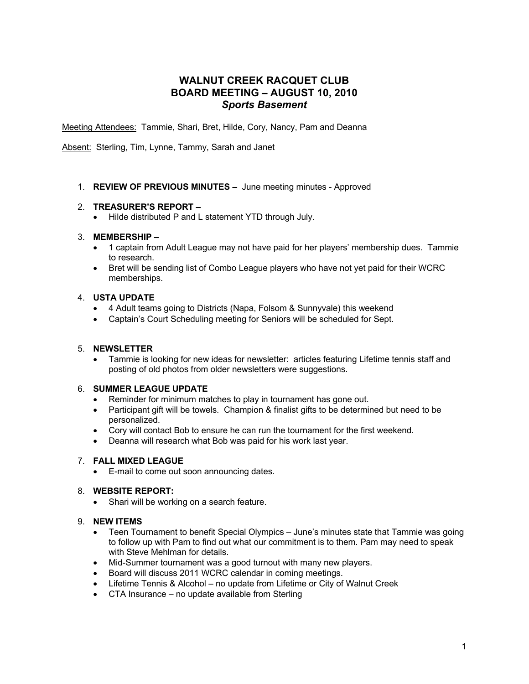# **WALNUT CREEK RACQUET CLUB BOARD MEETING – AUGUST 10, 2010** *Sports Basement*

Meeting Attendees: Tammie, Shari, Bret, Hilde, Cory, Nancy, Pam and Deanna

Absent: Sterling, Tim, Lynne, Tammy, Sarah and Janet

1. **REVIEW OF PREVIOUS MINUTES –** June meeting minutes - Approved

## 2. **TREASURER'S REPORT –**

• Hilde distributed P and L statement YTD through July.

## 3. **MEMBERSHIP –**

- 1 captain from Adult League may not have paid for her players' membership dues. Tammie to research.
- Bret will be sending list of Combo League players who have not yet paid for their WCRC memberships.

# 4. **USTA UPDATE**

- 4 Adult teams going to Districts (Napa, Folsom & Sunnyvale) this weekend
- Captain's Court Scheduling meeting for Seniors will be scheduled for Sept.

#### 5. **NEWSLETTER**

• Tammie is looking for new ideas for newsletter: articles featuring Lifetime tennis staff and posting of old photos from older newsletters were suggestions.

#### 6. **SUMMER LEAGUE UPDATE**

- Reminder for minimum matches to play in tournament has gone out.
- Participant gift will be towels. Champion & finalist gifts to be determined but need to be personalized.
- Cory will contact Bob to ensure he can run the tournament for the first weekend.
- Deanna will research what Bob was paid for his work last year.

# 7. **FALL MIXED LEAGUE**

• E-mail to come out soon announcing dates.

# 8. **WEBSITE REPORT:**

• Shari will be working on a search feature.

#### 9. **NEW ITEMS**

- Teen Tournament to benefit Special Olympics June's minutes state that Tammie was going to follow up with Pam to find out what our commitment is to them. Pam may need to speak with Steve Mehlman for details.
- Mid-Summer tournament was a good turnout with many new players.
- Board will discuss 2011 WCRC calendar in coming meetings.
- Lifetime Tennis & Alcohol no update from Lifetime or City of Walnut Creek
- CTA Insurance no update available from Sterling